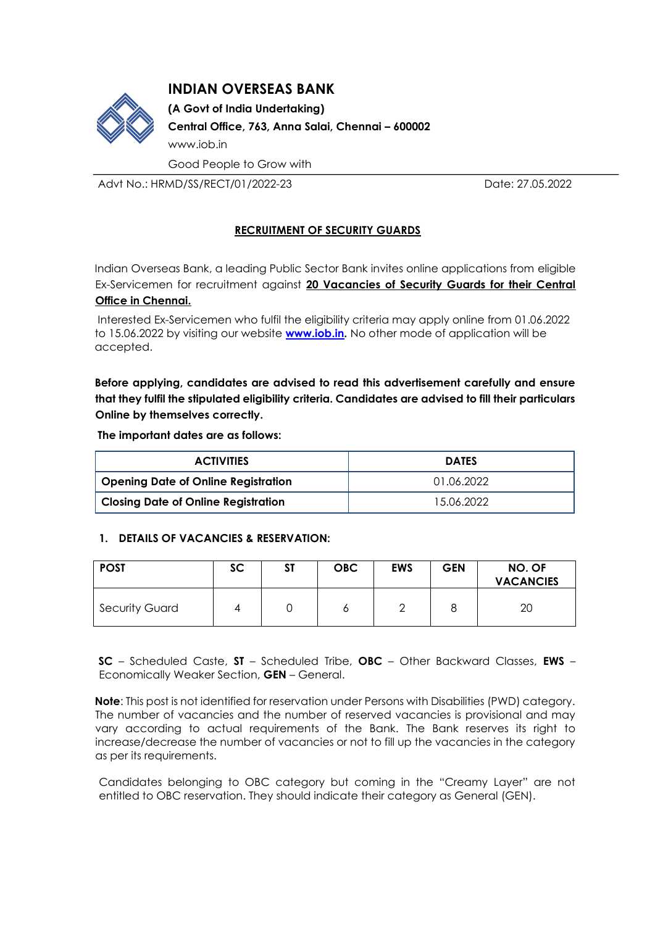# **INDIAN OVERSEAS BANK**



**(A Govt of India Undertaking) Central Office, 763, Anna Salai, Chennai – 600002**  [www.iob.in](http://www.iob.in/)  Good People to Grow with

Advt No.: HRMD/SS/RECT/01/2022-23 Date: 27.05.2022

# **RECRUITMENT OF SECURITY GUARDS**

Indian Overseas Bank, a leading Public Sector Bank invites online applications from eligible Ex-Servicemen for recruitment against **20 Vacancies of Security Guards for their Central Office in Chennai.**

Interested Ex-Servicemen who fulfil the eligibility criteria may apply online from 01.06.2022 to 15.06.2022 by visiting our website **[www.iob.in.](http://www.iob.in/)** No other mode of application will be accepted.

**Before applying, candidates are advised to read this advertisement carefully and ensure that they fulfil the stipulated eligibility criteria. Candidates are advised to fill their particulars Online by themselves correctly.** 

**The important dates are as follows:** 

| <b>ACTIVITIES</b>                          | <b>DATES</b> |  |  |
|--------------------------------------------|--------------|--|--|
| Opening Date of Online Registration        | 01.06.2022   |  |  |
| <b>Closing Date of Online Registration</b> | 15.06.2022   |  |  |

#### **1. DETAILS OF VACANCIES & RESERVATION:**

| <b>POST</b>           | <b>SC</b> | ST | <b>OBC</b> | <b>EWS</b> | <b>GEN</b> | NO. OF<br><b>VACANCIES</b> |
|-----------------------|-----------|----|------------|------------|------------|----------------------------|
| <b>Security Guard</b> |           |    |            |            |            | 20                         |

**SC** – Scheduled Caste, **ST** – Scheduled Tribe, **OBC** – Other Backward Classes, **EWS** – Economically Weaker Section, **GEN** – General.

**Note**: This post is not identified for reservation under Persons with Disabilities (PWD) category. The number of vacancies and the number of reserved vacancies is provisional and may vary according to actual requirements of the Bank. The Bank reserves its right to increase/decrease the number of vacancies or not to fill up the vacancies in the category as per its requirements.

Candidates belonging to OBC category but coming in the "Creamy Layer" are not entitled to OBC reservation. They should indicate their category as General (GEN).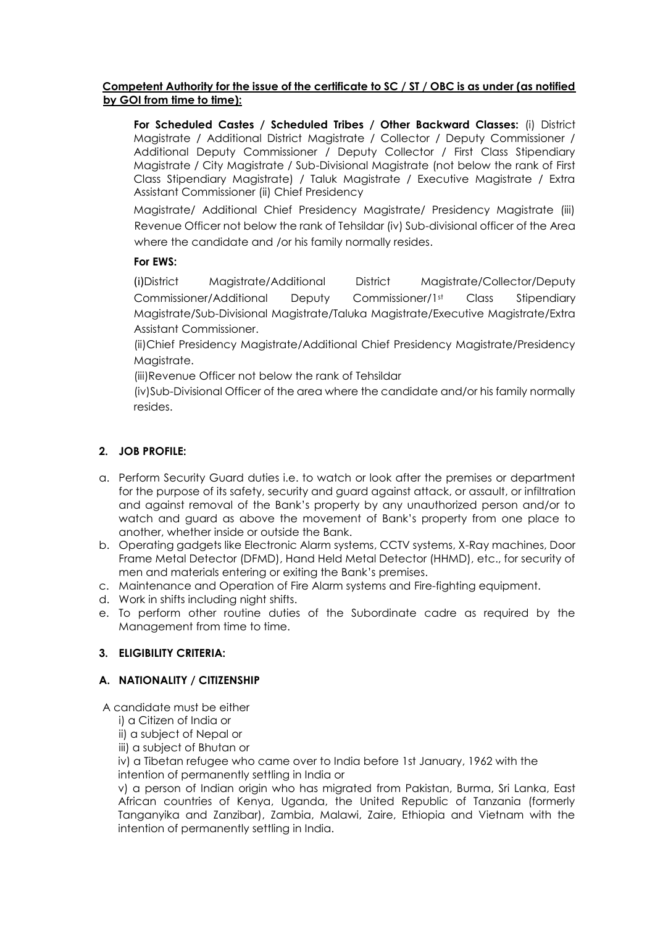#### **Competent Authority for the issue of the certificate to SC / ST / OBC is as under (as notified by GOI from time to time):**

**For Scheduled Castes / Scheduled Tribes / Other Backward Classes:** (i) District Magistrate / Additional District Magistrate / Collector / Deputy Commissioner / Additional Deputy Commissioner / Deputy Collector / First Class Stipendiary Magistrate / City Magistrate / Sub-Divisional Magistrate (not below the rank of First Class Stipendiary Magistrate) / Taluk Magistrate / Executive Magistrate / Extra Assistant Commissioner (ii) Chief Presidency

Magistrate/ Additional Chief Presidency Magistrate/ Presidency Magistrate (iii) Revenue Officer not below the rank of Tehsildar (iv) Sub-divisional officer of the Area where the candidate and /or his family normally resides.

# **For EWS:**

(i)District Magistrate/Additional District Magistrate/Collector/Deputy Commissioner/Additional Deputy Commissioner/1st Class Stipendiary Magistrate/Sub-Divisional Magistrate/Taluka Magistrate/Executive Magistrate/Extra Assistant Commissioner.

(ii)Chief Presidency Magistrate/Additional Chief Presidency Magistrate/Presidency Magistrate.

(iii)Revenue Officer not below the rank of Tehsildar

(iv)Sub-Divisional Officer of the area where the candidate and/or his family normally resides.

# **2. JOB PROFILE:**

- a. Perform Security Guard duties i.e. to watch or look after the premises or department for the purpose of its safety, security and guard against attack, or assault, or infiltration and against removal of the Bank's property by any unauthorized person and/or to watch and guard as above the movement of Bank's property from one place to another, whether inside or outside the Bank.
- b. Operating gadgets like Electronic Alarm systems, CCTV systems, X-Ray machines, Door Frame Metal Detector (DFMD), Hand Held Metal Detector (HHMD), etc., for security of men and materials entering or exiting the Bank's premises.
- c. Maintenance and Operation of Fire Alarm systems and Fire-fighting equipment.
- d. Work in shifts including night shifts.
- e. To perform other routine duties of the Subordinate cadre as required by the Management from time to time.

# **3. ELIGIBILITY CRITERIA:**

# **A. NATIONALITY / CITIZENSHIP**

A candidate must be either

- i) a Citizen of India or
- ii) a subject of Nepal or
- iii) a subject of Bhutan or
- iv) a Tibetan refugee who came over to India before 1st January, 1962 with the intention of permanently settling in India or

v) a person of Indian origin who has migrated from Pakistan, Burma, Sri Lanka, East African countries of Kenya, Uganda, the United Republic of Tanzania (formerly Tanganyika and Zanzibar), Zambia, Malawi, Zaire, Ethiopia and Vietnam with the intention of permanently settling in India.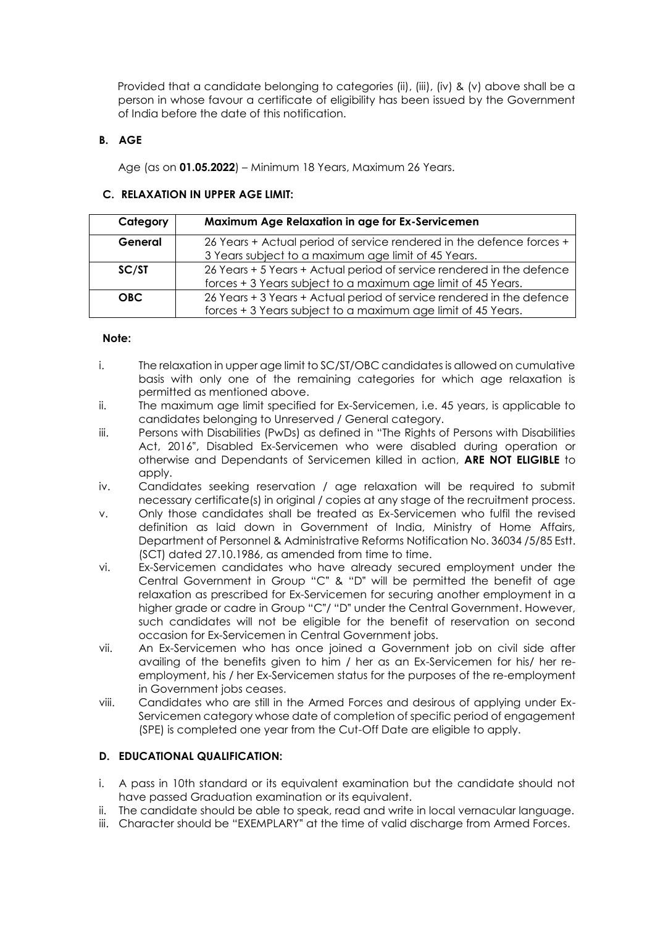Provided that a candidate belonging to categories (ii), (iii), (iv) & (v) above shall be a person in whose favour a certificate of eligibility has been issued by the Government of India before the date of this notification.

### **B. AGE**

Age (as on **01.05.2022**) – Minimum 18 Years, Maximum 26 Years.

### **C. RELAXATION IN UPPER AGE LIMIT:**

| Category   | Maximum Age Relaxation in age for Ex-Servicemen                       |
|------------|-----------------------------------------------------------------------|
| General    | 26 Years + Actual period of service rendered in the defence forces +  |
|            | 3 Years subject to a maximum age limit of 45 Years.                   |
| SC/ST      | 26 Years + 5 Years + Actual period of service rendered in the defence |
|            | forces + 3 Years subject to a maximum age limit of 45 Years.          |
| <b>OBC</b> | 26 Years + 3 Years + Actual period of service rendered in the defence |
|            | forces + 3 Years subject to a maximum age limit of 45 Years.          |

### **Note:**

- i. The relaxation in upper age limit to SC/ST/OBC candidates is allowed on cumulative basis with only one of the remaining categories for which age relaxation is permitted as mentioned above.
- ii. The maximum age limit specified for Ex-Servicemen, i.e. 45 years, is applicable to candidates belonging to Unreserved / General category.
- iii. Persons with Disabilities (PwDs) as defined in "The Rights of Persons with Disabilities Act, 2016", Disabled Ex-Servicemen who were disabled during operation or otherwise and Dependants of Servicemen killed in action, **ARE NOT ELIGIBLE** to apply.
- iv. Candidates seeking reservation / age relaxation will be required to submit necessary certificate(s) in original / copies at any stage of the recruitment process.
- v. Only those candidates shall be treated as Ex-Servicemen who fulfil the revised definition as laid down in Government of India, Ministry of Home Affairs, Department of Personnel & Administrative Reforms Notification No. 36034 /5/85 Estt. (SCT) dated 27.10.1986, as amended from time to time.
- vi. Ex-Servicemen candidates who have already secured employment under the Central Government in Group "C" & "D" will be permitted the benefit of age relaxation as prescribed for Ex-Servicemen for securing another employment in a higher grade or cadre in Group "C"/ "D" under the Central Government. However, such candidates will not be eligible for the benefit of reservation on second occasion for Ex-Servicemen in Central Government jobs.
- vii. An Ex-Servicemen who has once joined a Government job on civil side after availing of the benefits given to him / her as an Ex-Servicemen for his/ her reemployment, his / her Ex-Servicemen status for the purposes of the re-employment in Government jobs ceases.
- viii. Candidates who are still in the Armed Forces and desirous of applying under Ex-Servicemen category whose date of completion of specific period of engagement (SPE) is completed one year from the Cut-Off Date are eligible to apply.

# **D. EDUCATIONAL QUALIFICATION:**

- i. A pass in 10th standard or its equivalent examination but the candidate should not have passed Graduation examination or its equivalent.
- ii. The candidate should be able to speak, read and write in local vernacular language.
- iii. Character should be "EXEMPLARY" at the time of valid discharge from Armed Forces.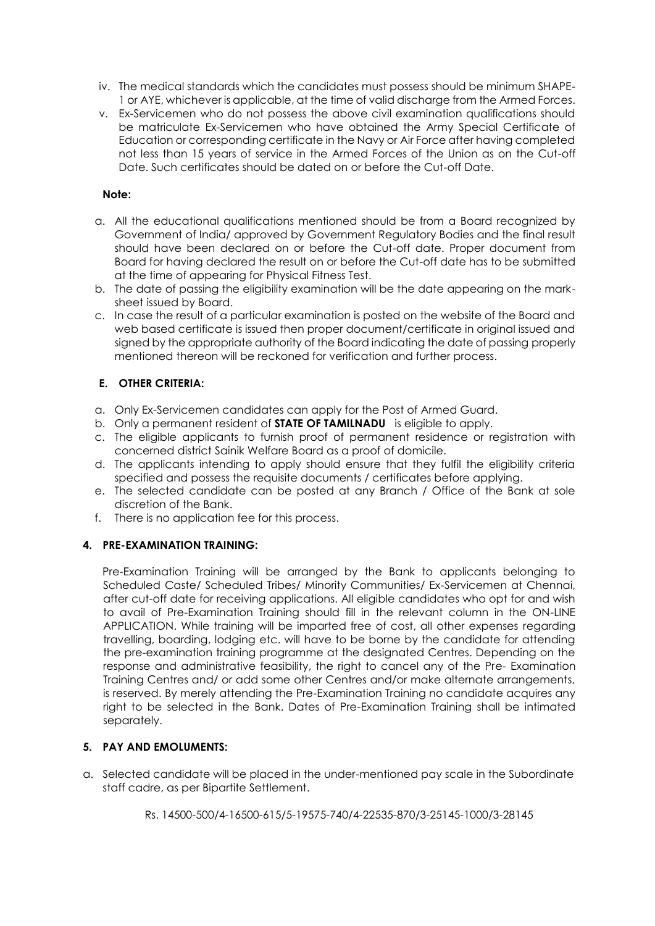- iv. The medical standards which the candidates must possess should be minimum SHAPE-1 or AYE, whichever is applicable, at the time of valid discharge from the Armed Forces.
- v. Ex-Servicemen who do not possess the above civil examination qualifications should be matriculate Ex-Servicemen who have obtained the Army Special Certificate of Education or corresponding certificate in the Navy or Air Force after having completed not less than 15 years of service in the Armed Forces of the Union as on the Cut-off Date. Such certificates should be dated on or before the Cut-off Date.

#### **Note:**

- a. All the educational qualifications mentioned should be from a Board recognized by Government of India/ approved by Government Regulatory Bodies and the final result should have been declared on or before the Cut-off date. Proper document from Board for having declared the result on or before the Cut-off date has to be submitted at the time of appearing for Physical Fitness Test.
- b. The date of passing the eligibility examination will be the date appearing on the marksheet issued by Board.
- c. In case the result of a particular examination is posted on the website of the Board and web based certificate is issued then proper document/certificate in original issued and signed by the appropriate authority of the Board indicating the date of passing properly mentioned thereon will be reckoned for verification and further process.

### **E. OTHER CRITERIA:**

- a. Only Ex-Servicemen candidates can apply for the Post of Armed Guard.
- b. Only a permanent resident of **STATE OF TAMILNADU** is eligible to apply.
- c. The eligible applicants to furnish proof of permanent residence or registration with concerned district Sainik Welfare Board as a proof of domicile.
- d. The applicants intending to apply should ensure that they fulfil the eligibility criteria specified and possess the requisite documents / certificates before applying.
- e. The selected candidate can be posted at any Branch / Office of the Bank at sole discretion of the Bank.
- f. There is no application fee for this process.

# **4. PRE-EXAMINATION TRAINING:**

Pre-Examination Training will be arranged by the Bank to applicants belonging to Scheduled Caste/ Scheduled Tribes/ Minority Communities/ Ex-Servicemen at Chennai, after cut-off date for receiving applications. All eligible candidates who opt for and wish to avail of Pre-Examination Training should fill in the relevant column in the ON-LINE APPLICATION. While training will be imparted free of cost, all other expenses regarding travelling, boarding, lodging etc. will have to be borne by the candidate for attending the pre-examination training programme at the designated Centres. Depending on the response and administrative feasibility, the right to cancel any of the Pre- Examination Training Centres and/ or add some other Centres and/or make alternate arrangements, is reserved. By merely attending the Pre-Examination Training no candidate acquires any right to be selected in the Bank. Dates of Pre-Examination Training shall be intimated separately.

# **5. PAY AND EMOLUMENTS:**

- a. Selected candidate will be placed in the under-mentioned pay scale in the Subordinate staff cadre, as per Bipartite Settlement.
	- Rs. 14500-500/4-16500-615/5-19575-740/4-22535-870/3-25145-1000/3-28145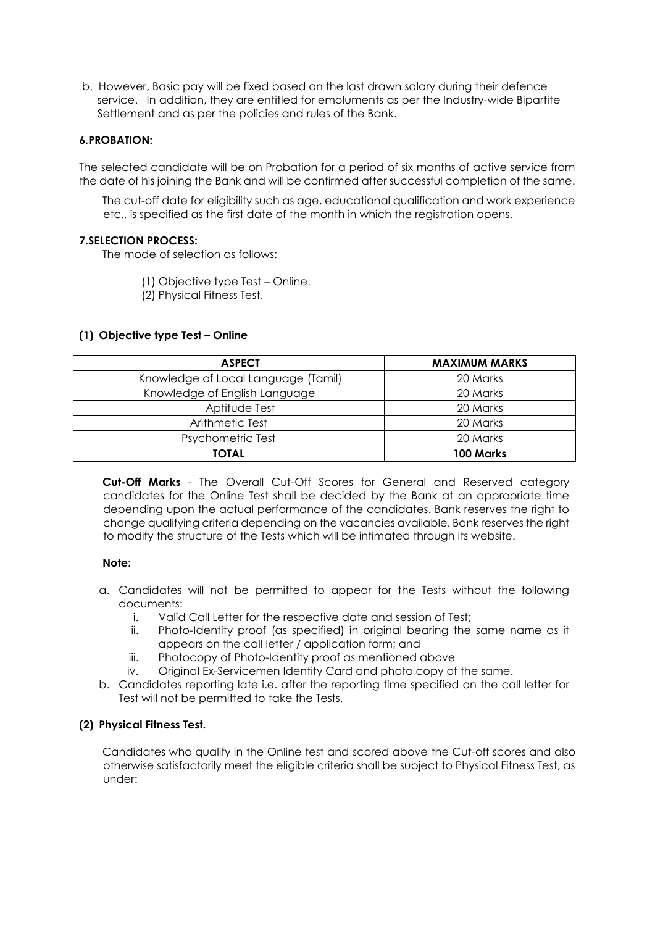b. However, Basic pay will be fixed based on the last drawn salary during their defence service. In addition, they are entitled for emoluments as per the Industry-wide Bipartite Settlement and as per the policies and rules of the Bank.

#### **6.PROBATION:**

The selected candidate will be on Probation for a period of six months of active service from the date of his joining the Bank and will be confirmed after successful completion of the same.

The cut-off date for eligibility such as age, educational qualification and work experience etc., is specified as the first date of the month in which the registration opens.

#### **7.SELECTION PROCESS:**

The mode of selection as follows:

(1) Objective type Test – Online.

(2) Physical Fitness Test.

#### **(1) Objective type Test – Online**

| <b>ASPECT</b>                       | <b>MAXIMUM MARKS</b> |  |  |
|-------------------------------------|----------------------|--|--|
| Knowledge of Local Language (Tamil) | 20 Marks             |  |  |
| Knowledge of English Language       | 20 Marks             |  |  |
| Aptitude Test                       | 20 Marks             |  |  |
| Arithmetic Test                     | 20 Marks             |  |  |
| Psychometric Test                   | 20 Marks             |  |  |
| <b>TOTAL</b>                        | 100 Marks            |  |  |

**Cut-Off Marks** - The Overall Cut-Off Scores for General and Reserved category candidates for the Online Test shall be decided by the Bank at an appropriate time depending upon the actual performance of the candidates. Bank reserves the right to change qualifying criteria depending on the vacancies available. Bank reserves the right to modify the structure of the Tests which will be intimated through its website.

#### **Note:**

- a. Candidates will not be permitted to appear for the Tests without the following documents:
	- i. Valid Call Letter for the respective date and session of Test;
	- ii. Photo-Identity proof (as specified) in original bearing the same name as it appears on the call letter / application form; and
	- iii. Photocopy of Photo-Identity proof as mentioned above
	- iv. Original Ex-Servicemen Identity Card and photo copy of the same.
- b. Candidates reporting late i.e. after the reporting time specified on the call letter for Test will not be permitted to take the Tests.

#### **(2) Physical Fitness Test.**

Candidates who qualify in the Online test and scored above the Cut-off scores and also otherwise satisfactorily meet the eligible criteria shall be subject to Physical Fitness Test, as under: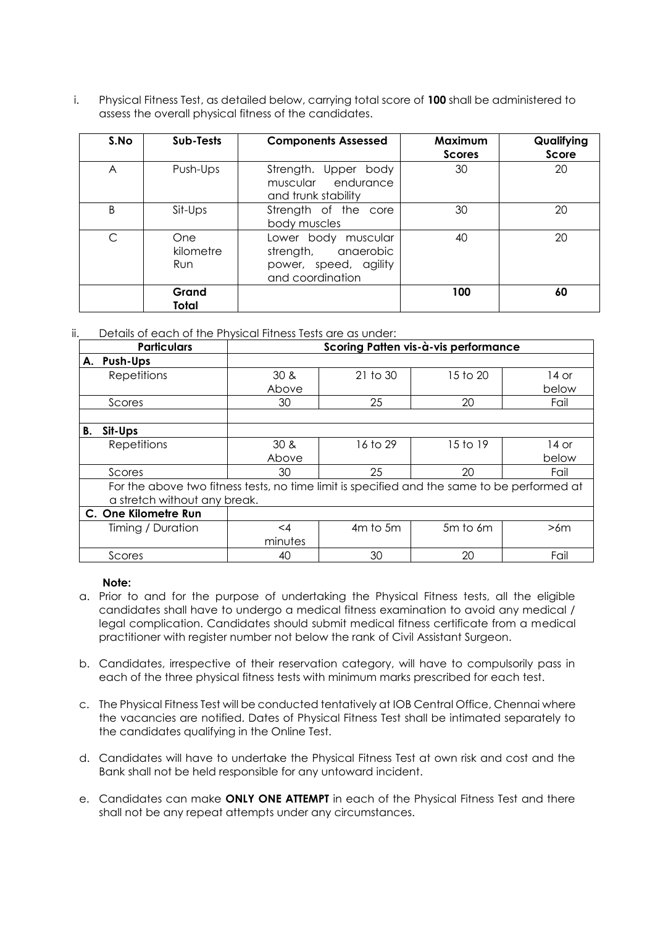i. Physical Fitness Test, as detailed below, carrying total score of **100** shall be administered to assess the overall physical fitness of the candidates.

| S.No | Sub-Tests               | <b>Components Assessed</b>                                                              | Maximum<br><b>Scores</b> | Qualifying<br>Score |
|------|-------------------------|-----------------------------------------------------------------------------------------|--------------------------|---------------------|
| A    | Push-Ups                | Strength. Upper body<br>muscular endurance<br>and trunk stability                       | 30                       | 20                  |
| B    | Sit-Ups                 | Strength of the core<br>body muscles                                                    | 30                       | 20                  |
| С    | One<br>kilometre<br>Run | Lower body muscular<br>strength, anaerobic<br>power, speed, agility<br>and coordination | 40                       | 20                  |
|      | Grand<br>Total          |                                                                                         | 100                      | 60                  |

#### ii. Details of each of the Physical Fitness Tests are as under:

|                      | <b>Particulars</b>                                                                          | Scoring Patten vis-à-vis performance |          |          |       |  |
|----------------------|---------------------------------------------------------------------------------------------|--------------------------------------|----------|----------|-------|--|
| A. Push-Ups          |                                                                                             |                                      |          |          |       |  |
| <b>Repetitions</b>   |                                                                                             | 30 <sub>8</sub>                      | 21 to 30 | 15 to 20 | 14 or |  |
|                      |                                                                                             | Above                                |          |          | below |  |
| Scores               |                                                                                             | 30                                   | 25       | 20       | Fail  |  |
|                      |                                                                                             |                                      |          |          |       |  |
| Sit-Ups<br>В.        |                                                                                             |                                      |          |          |       |  |
| <b>Repetitions</b>   |                                                                                             | 30 <sub>8</sub>                      | 16 to 29 | 15 to 19 | 14 or |  |
|                      |                                                                                             | Above                                |          |          | below |  |
| Scores               |                                                                                             | 30                                   | 25       | 20       | Fail  |  |
|                      | For the above two fitness tests, no time limit is specified and the same to be performed at |                                      |          |          |       |  |
|                      | a stretch without any break.                                                                |                                      |          |          |       |  |
| C. One Kilometre Run |                                                                                             |                                      |          |          |       |  |
| Timing / Duration    |                                                                                             | $\leq$ 4                             | 4m to 5m | 5m to 6m | >6m   |  |
|                      |                                                                                             | minutes                              |          |          |       |  |
| Scores               |                                                                                             | 40                                   | 30       | 20       | Fail  |  |

#### **Note:**

- a. Prior to and for the purpose of undertaking the Physical Fitness tests, all the eligible candidates shall have to undergo a medical fitness examination to avoid any medical / legal complication. Candidates should submit medical fitness certificate from a medical practitioner with register number not below the rank of Civil Assistant Surgeon.
- b. Candidates, irrespective of their reservation category, will have to compulsorily pass in each of the three physical fitness tests with minimum marks prescribed for each test.
- c. The Physical Fitness Test will be conducted tentatively at IOB Central Office, Chennai where the vacancies are notified. Dates of Physical Fitness Test shall be intimated separately to the candidates qualifying in the Online Test.
- d. Candidates will have to undertake the Physical Fitness Test at own risk and cost and the Bank shall not be held responsible for any untoward incident.
- e. Candidates can make **ONLY ONE ATTEMPT** in each of the Physical Fitness Test and there shall not be any repeat attempts under any circumstances.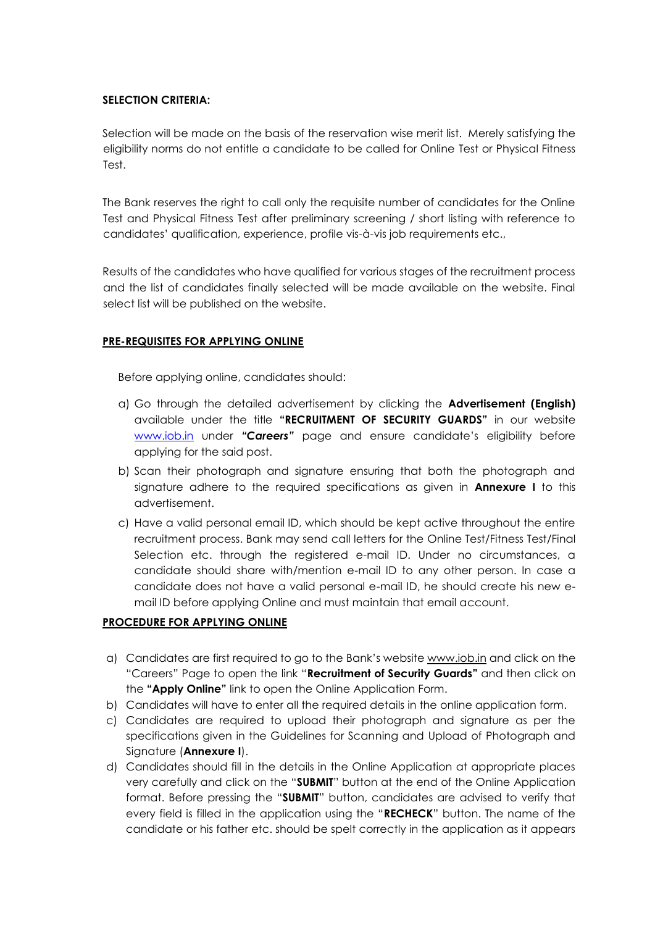### **SELECTION CRITERIA:**

Selection will be made on the basis of the reservation wise merit list. Merely satisfying the eligibility norms do not entitle a candidate to be called for Online Test or Physical Fitness Test.

The Bank reserves the right to call only the requisite number of candidates for the Online Test and Physical Fitness Test after preliminary screening / short listing with reference to candidates' qualification, experience, profile vis-à-vis job requirements etc.,

Results of the candidates who have qualified for various stages of the recruitment process and the list of candidates finally selected will be made available on the website. Final select list will be published on the website.

### **PRE-REQUISITES FOR APPLYING ONLINE**

Before applying online, candidates should:

- a) Go through the detailed advertisement by clicking the **Advertisement (English)**  available under the title **"RECRUITMENT OF SECURITY GUARDS"** in our website [www.iob.in](http://www.iob.in/) [u](http://www.iob.in/)nder *"Careers"* page and ensure candidate's eligibility before applying for the said post.
- b) Scan their photograph and signature ensuring that both the photograph and signature adhere to the required specifications as given in **Annexure I** to this advertisement.
- c) Have a valid personal email ID, which should be kept active throughout the entire recruitment process. Bank may send call letters for the Online Test/Fitness Test/Final Selection etc. through the registered e-mail ID. Under no circumstances, a candidate should share with/mention e-mail ID to any other person. In case a candidate does not have a valid personal e-mail ID, he should create his new email ID before applying Online and must maintain that email account.

# **PROCEDURE FOR APPLYING ONLINE**

- a) Candidates are first required to go to the Bank's website www.iob.in and click on the "Careers" Page to open the link "**Recruitment of Security Guards"** and then click on the **"Apply Online"** link to open the Online Application Form.
- b) Candidates will have to enter all the required details in the online application form.
- c) Candidates are required to upload their photograph and signature as per the specifications given in the Guidelines for Scanning and Upload of Photograph and Signature (**Annexure I**).
- d) Candidates should fill in the details in the Online Application at appropriate places very carefully and click on the "**SUBMIT**" button at the end of the Online Application format. Before pressing the "**SUBMIT**" button, candidates are advised to verify that every field is filled in the application using the "**RECHECK**" button. The name of the candidate or his father etc. should be spelt correctly in the application as it appears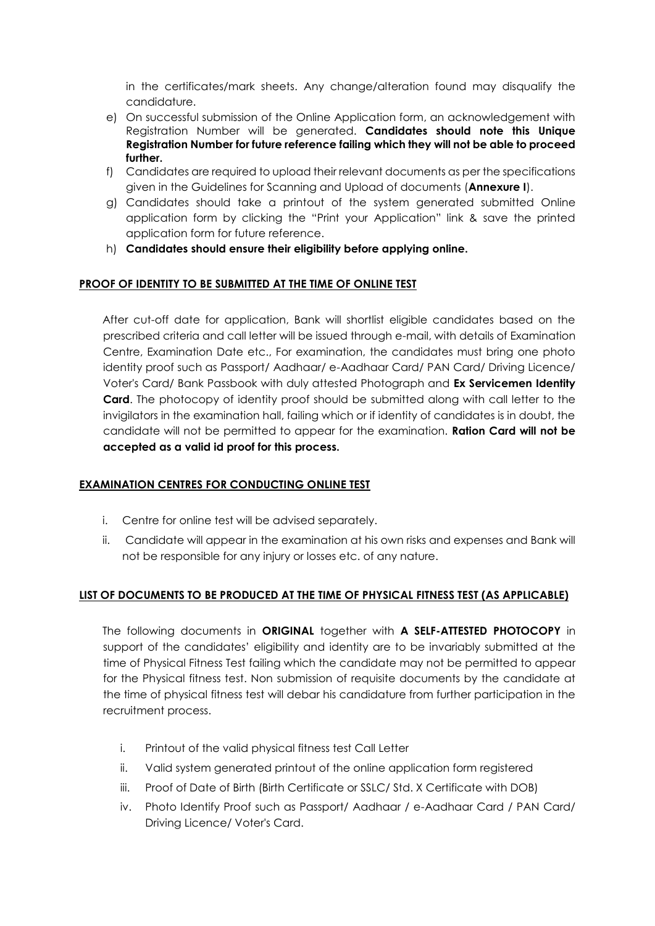in the certificates/mark sheets. Any change/alteration found may disqualify the candidature.

- e) On successful submission of the Online Application form, an acknowledgement with Registration Number will be generated. **Candidates should note this Unique Registration Number for future reference failing which they will not be able to proceed further.**
- f) Candidates are required to upload their relevant documents as per the specifications given in the Guidelines for Scanning and Upload of documents (**Annexure I**).
- g) Candidates should take a printout of the system generated submitted Online application form by clicking the "Print your Application" link & save the printed application form for future reference.
- h) **Candidates should ensure their eligibility before applying online.**

# **PROOF OF IDENTITY TO BE SUBMITTED AT THE TIME OF ONLINE TEST**

After cut-off date for application, Bank will shortlist eligible candidates based on the prescribed criteria and call letter will be issued through e-mail, with details of Examination Centre, Examination Date etc., For examination, the candidates must bring one photo identity proof such as Passport/ Aadhaar/ e-Aadhaar Card/ PAN Card/ Driving Licence/ Voter's Card/ Bank Passbook with duly attested Photograph and **Ex Servicemen Identity Card**. The photocopy of identity proof should be submitted along with call letter to the invigilators in the examination hall, failing which or if identity of candidates is in doubt, the candidate will not be permitted to appear for the examination. **Ration Card will not be accepted as a valid id proof for this process.** 

# **EXAMINATION CENTRES FOR CONDUCTING ONLINE TEST**

- i. Centre for online test will be advised separately.
- ii. Candidate will appear in the examination at his own risks and expenses and Bank will not be responsible for any injury or losses etc. of any nature.

# **LIST OF DOCUMENTS TO BE PRODUCED AT THE TIME OF PHYSICAL FITNESS TEST (AS APPLICABLE)**

The following documents in **ORIGINAL** together with **A SELF-ATTESTED PHOTOCOPY** in support of the candidates' eligibility and identity are to be invariably submitted at the time of Physical Fitness Test failing which the candidate may not be permitted to appear for the Physical fitness test. Non submission of requisite documents by the candidate at the time of physical fitness test will debar his candidature from further participation in the recruitment process.

- i. Printout of the valid physical fitness test Call Letter
- ii. Valid system generated printout of the online application form registered
- iii. Proof of Date of Birth (Birth Certificate or SSLC/ Std. X Certificate with DOB)
- iv. Photo Identify Proof such as Passport/ Aadhaar / e-Aadhaar Card / PAN Card/ Driving Licence/ Voter's Card.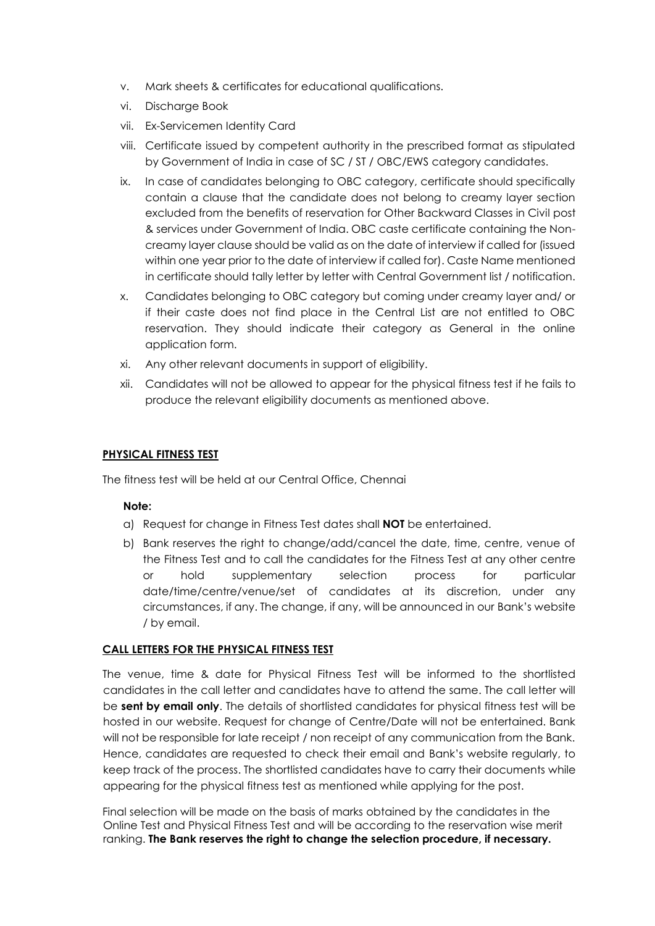- v. Mark sheets & certificates for educational qualifications.
- vi. Discharge Book
- vii. Ex-Servicemen Identity Card
- viii. Certificate issued by competent authority in the prescribed format as stipulated by Government of India in case of SC / ST / OBC/EWS category candidates.
- ix. In case of candidates belonging to OBC category, certificate should specifically contain a clause that the candidate does not belong to creamy layer section excluded from the benefits of reservation for Other Backward Classes in Civil post & services under Government of India. OBC caste certificate containing the Noncreamy layer clause should be valid as on the date of interview if called for (issued within one year prior to the date of interview if called for). Caste Name mentioned in certificate should tally letter by letter with Central Government list / notification.
- x. Candidates belonging to OBC category but coming under creamy layer and/ or if their caste does not find place in the Central List are not entitled to OBC reservation. They should indicate their category as General in the online application form.
- xi. Any other relevant documents in support of eligibility.
- xii. Candidates will not be allowed to appear for the physical fitness test if he fails to produce the relevant eligibility documents as mentioned above.

### **PHYSICAL FITNESS TEST**

The fitness test will be held at our Central Office, Chennai

#### **Note:**

- a) Request for change in Fitness Test dates shall **NOT** be entertained.
- b) Bank reserves the right to change/add/cancel the date, time, centre, venue of the Fitness Test and to call the candidates for the Fitness Test at any other centre or hold supplementary selection process for particular date/time/centre/venue/set of candidates at its discretion, under any circumstances, if any. The change, if any, will be announced in our Bank's website / by email.

#### **CALL LETTERS FOR THE PHYSICAL FITNESS TEST**

The venue, time & date for Physical Fitness Test will be informed to the shortlisted candidates in the call letter and candidates have to attend the same. The call letter will be **sent by email only**. The details of shortlisted candidates for physical fitness test will be hosted in our website. Request for change of Centre/Date will not be entertained. Bank will not be responsible for late receipt / non receipt of any communication from the Bank. Hence, candidates are requested to check their email and Bank's website regularly, to keep track of the process. The shortlisted candidates have to carry their documents while appearing for the physical fitness test as mentioned while applying for the post.

Final selection will be made on the basis of marks obtained by the candidates in the Online Test and Physical Fitness Test and will be according to the reservation wise merit ranking. **The Bank reserves the right to change the selection procedure, if necessary.**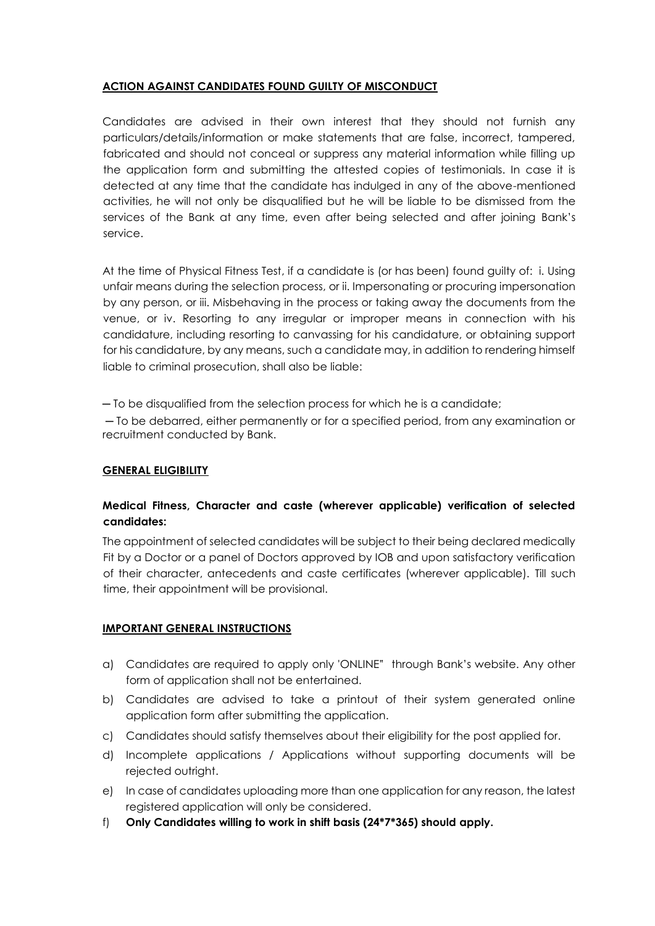# **ACTION AGAINST CANDIDATES FOUND GUILTY OF MISCONDUCT**

Candidates are advised in their own interest that they should not furnish any particulars/details/information or make statements that are false, incorrect, tampered, fabricated and should not conceal or suppress any material information while filling up the application form and submitting the attested copies of testimonials. In case it is detected at any time that the candidate has indulged in any of the above-mentioned activities, he will not only be disqualified but he will be liable to be dismissed from the services of the Bank at any time, even after being selected and after joining Bank's service.

At the time of Physical Fitness Test, if a candidate is (or has been) found guilty of: i. Using unfair means during the selection process, or ii. Impersonating or procuring impersonation by any person, or iii. Misbehaving in the process or taking away the documents from the venue, or iv. Resorting to any irregular or improper means in connection with his candidature, including resorting to canvassing for his candidature, or obtaining support for his candidature, by any means, such a candidate may, in addition to rendering himself liable to criminal prosecution, shall also be liable:

─ To be disqualified from the selection process for which he is a candidate;

─ To be debarred, either permanently or for a specified period, from any examination or recruitment conducted by Bank.

# **GENERAL ELIGIBILITY**

# **Medical Fitness, Character and caste (wherever applicable) verification of selected candidates:**

The appointment of selected candidates will be subject to their being declared medically Fit by a Doctor or a panel of Doctors approved by IOB and upon satisfactory verification of their character, antecedents and caste certificates (wherever applicable). Till such time, their appointment will be provisional.

# **IMPORTANT GENERAL INSTRUCTIONS**

- a) Candidates are required to apply only 'ONLINE" through Bank's website. Any other form of application shall not be entertained.
- b) Candidates are advised to take a printout of their system generated online application form after submitting the application.
- c) Candidates should satisfy themselves about their eligibility for the post applied for.
- d) Incomplete applications / Applications without supporting documents will be rejected outright.
- e) In case of candidates uploading more than one application for any reason, the latest registered application will only be considered.
- f) **Only Candidates willing to work in shift basis (24\*7\*365) should apply.**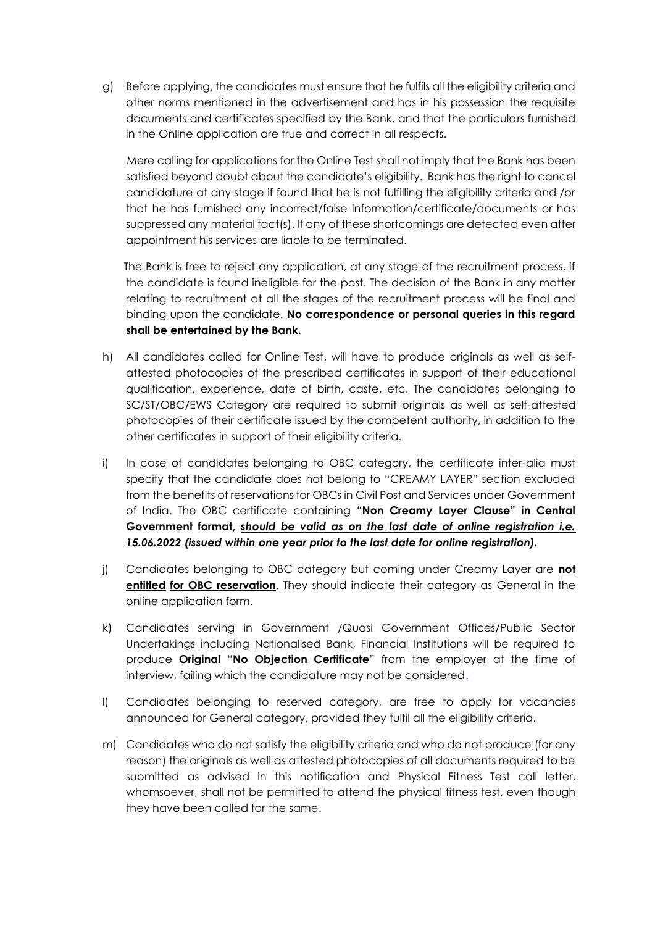g) Before applying, the candidates must ensure that he fulfils all the eligibility criteria and other norms mentioned in the advertisement and has in his possession the requisite documents and certificates specified by the Bank, and that the particulars furnished in the Online application are true and correct in all respects.

 Mere calling for applications for the Online Test shall not imply that the Bank has been satisfied beyond doubt about the candidate's eligibility. Bank has the right to cancel candidature at any stage if found that he is not fulfilling the eligibility criteria and /or that he has furnished any incorrect/false information/certificate/documents or has suppressed any material fact(s). If any of these shortcomings are detected even after appointment his services are liable to be terminated.

 The Bank is free to reject any application, at any stage of the recruitment process, if the candidate is found ineligible for the post. The decision of the Bank in any matter relating to recruitment at all the stages of the recruitment process will be final and binding upon the candidate. **No correspondence or personal queries in this regard shall be entertained by the Bank.**

- h) All candidates called for Online Test, will have to produce originals as well as selfattested photocopies of the prescribed certificates in support of their educational qualification, experience, date of birth, caste, etc. The candidates belonging to SC/ST/OBC/EWS Category are required to submit originals as well as self-attested photocopies of their certificate issued by the competent authority, in addition to the other certificates in support of their eligibility criteria.
- i) In case of candidates belonging to OBC category, the certificate inter-alia must specify that the candidate does not belong to "CREAMY LAYER" section excluded from the benefits of reservations for OBCs in Civil Post and Services under Government of India. The OBC certificate containing **"Non Creamy Layer Clause" in Central Government format,** *should be valid as on the last date of online registration i.e. 15.06.2022 (issued within one year prior to the last date for online registration).*
- j) Candidates belonging to OBC category but coming under Creamy Layer are **not entitled for OBC reservation**. They should indicate their category as General in the online application form.
- k) Candidates serving in Government /Quasi Government Offices/Public Sector Undertakings including Nationalised Bank, Financial Institutions will be required to produce **Original** "**No Objection Certificate**" from the employer at the time of interview, failing which the candidature may not be considered.
- l) Candidates belonging to reserved category, are free to apply for vacancies announced for General category, provided they fulfil all the eligibility criteria.
- m) Candidates who do not satisfy the eligibility criteria and who do not produce (for any reason) the originals as well as attested photocopies of all documents required to be submitted as advised in this notification and Physical Fitness Test call letter, whomsoever, shall not be permitted to attend the physical fitness test, even though they have been called for the same.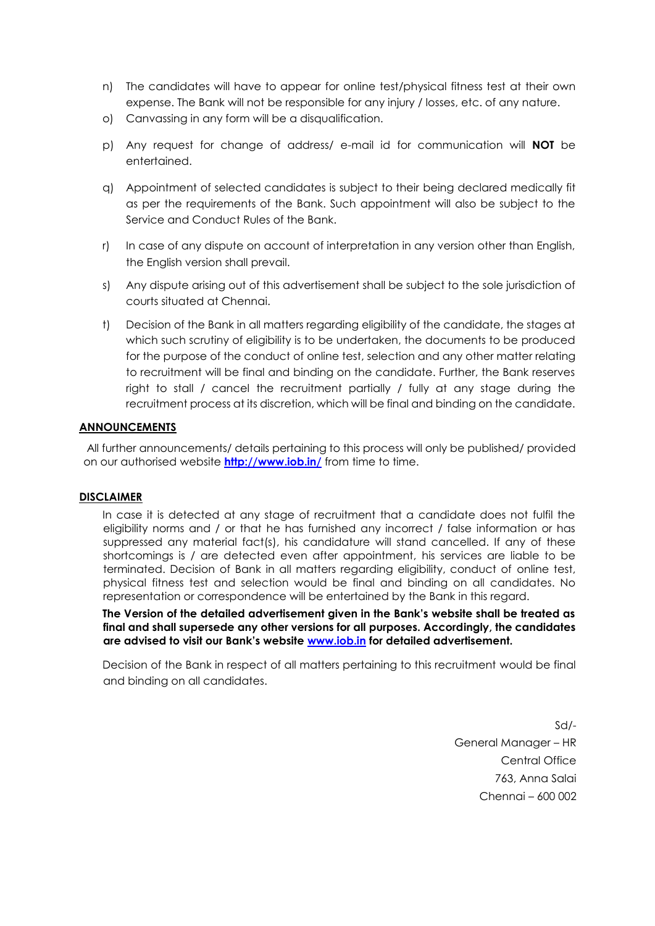- n) The candidates will have to appear for online test/physical fitness test at their own expense. The Bank will not be responsible for any injury / losses, etc. of any nature.
- o) Canvassing in any form will be a disqualification.
- p) Any request for change of address/ e-mail id for communication will **NOT** be entertained.
- q) Appointment of selected candidates is subject to their being declared medically fit as per the requirements of the Bank. Such appointment will also be subject to the Service and Conduct Rules of the Bank.
- r) In case of any dispute on account of interpretation in any version other than English, the English version shall prevail.
- s) Any dispute arising out of this advertisement shall be subject to the sole jurisdiction of courts situated at Chennai.
- t) Decision of the Bank in all matters regarding eligibility of the candidate, the stages at which such scrutiny of eligibility is to be undertaken, the documents to be produced for the purpose of the conduct of online test, selection and any other matter relating to recruitment will be final and binding on the candidate. Further, the Bank reserves right to stall / cancel the recruitment partially / fully at any stage during the recruitment process at its discretion, which will be final and binding on the candidate.

### **ANNOUNCEMENTS**

All further announcements/ details pertaining to this process will only be published/ provided on our authorised website **<http://www.iob.in/>** [f](http://www.iob.in/)rom time to time.

#### **DISCLAIMER**

In case it is detected at any stage of recruitment that a candidate does not fulfil the eligibility norms and / or that he has furnished any incorrect / false information or has suppressed any material fact(s), his candidature will stand cancelled. If any of these shortcomings is / are detected even after appointment, his services are liable to be terminated. Decision of Bank in all matters regarding eligibility, conduct of online test, physical fitness test and selection would be final and binding on all candidates. No representation or correspondence will be entertained by the Bank in this regard.

**The Version of the detailed advertisement given in the Bank's website shall be treated as final and shall supersede any other versions for all purposes. Accordingly, the candidates are advised to visit our Bank's website [www.iob.in](http://www.iob.in/) [f](http://www.iob.in/)or detailed advertisement.** 

Decision of the Bank in respect of all matters pertaining to this recruitment would be final and binding on all candidates.

> Sd/- General Manager – HR Central Office 763, Anna Salai Chennai – 600 002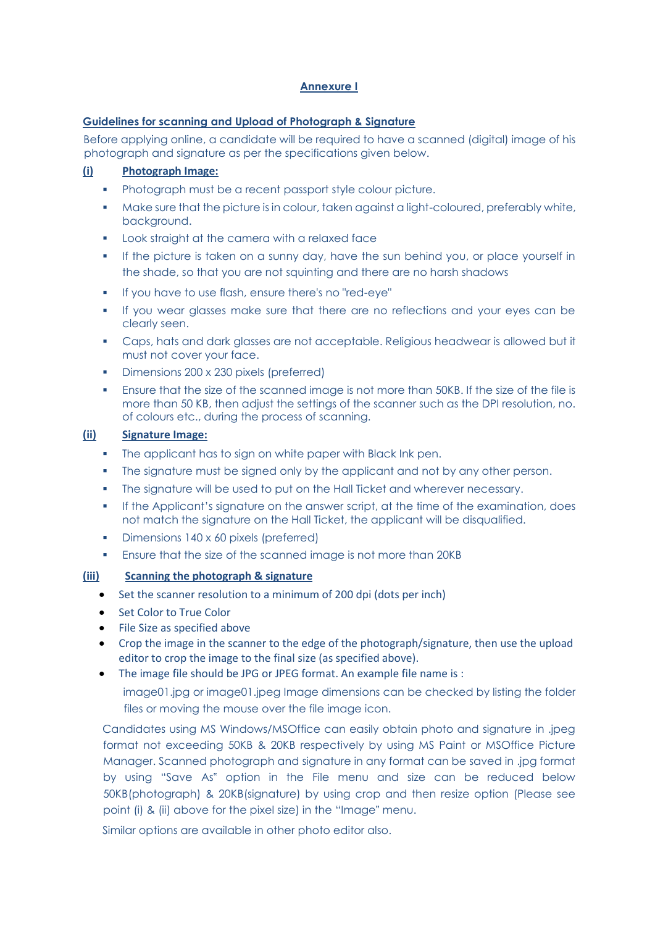### **Annexure I**

### **Guidelines for scanning and Upload of Photograph & Signature**

Before applying online, a candidate will be required to have a scanned (digital) image of his photograph and signature as per the specifications given below.

# **(i) Photograph Image:**

- Photograph must be a recent passport style colour picture.
- Make sure that the picture is in colour, taken against a light-coloured, preferably white, background.
- **Look straight at the camera with a relaxed face**
- If the picture is taken on a sunny day, have the sun behind you, or place yourself in the shade, so that you are not squinting and there are no harsh shadows
- If you have to use flash, ensure there's no "red-eye"
- If you wear glasses make sure that there are no reflections and your eyes can be clearly seen.
- Caps, hats and dark glasses are not acceptable. Religious headwear is allowed but it must not cover your face.
- Dimensions 200 x 230 pixels (preferred)
- Ensure that the size of the scanned image is not more than 50KB. If the size of the file is more than 50 KB, then adjust the settings of the scanner such as the DPI resolution, no. of colours etc., during the process of scanning.

### **(ii) Signature Image:**

- The applicant has to sign on white paper with Black Ink pen.
- The signature must be signed only by the applicant and not by any other person.
- The signature will be used to put on the Hall Ticket and wherever necessary.
- If the Applicant's signature on the answer script, at the time of the examination, does not match the signature on the Hall Ticket, the applicant will be disqualified.
- Dimensions 140 x 60 pixels (preferred)
- Ensure that the size of the scanned image is not more than 20KB

# **(iii) Scanning the photograph & signature**

- Set the scanner resolution to a minimum of 200 dpi (dots per inch)
- Set Color to True Color
- File Size as specified above
- Crop the image in the scanner to the edge of the photograph/signature, then use the upload editor to crop the image to the final size (as specified above).
- The image file should be JPG or JPEG format. An example file name is :

image01.jpg or image01.jpeg Image dimensions can be checked by listing the folder files or moving the mouse over the file image icon.

Candidates using MS Windows/MSOffice can easily obtain photo and signature in .jpeg format not exceeding 50KB & 20KB respectively by using MS Paint or MSOffice Picture Manager. Scanned photograph and signature in any format can be saved in .jpg format by using "Save As" option in the File menu and size can be reduced below 50KB(photograph) & 20KB(signature) by using crop and then resize option (Please see point (i) & (ii) above for the pixel size) in the "Image" menu.

Similar options are available in other photo editor also.